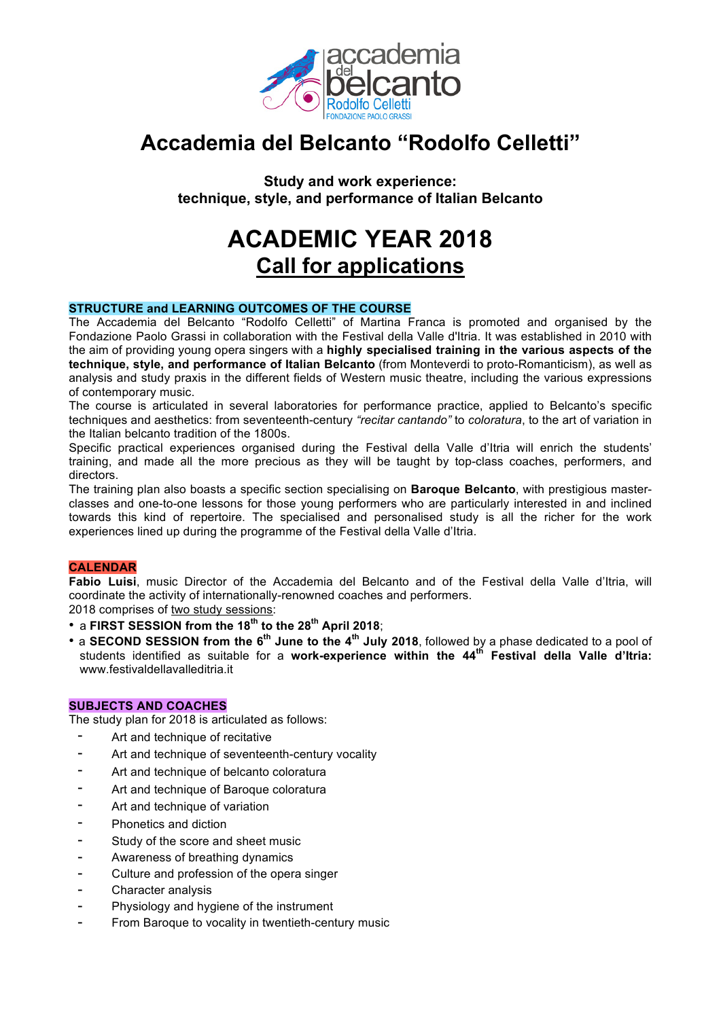

## **Accademia del Belcanto "Rodolfo Celletti"**

**Study and work experience: technique, style, and performance of Italian Belcanto**

# **ACADEMIC YEAR 2018 Call for applications**

## **STRUCTURE and LEARNING OUTCOMES OF THE COURSE**

The Accademia del Belcanto "Rodolfo Celletti" of Martina Franca is promoted and organised by the Fondazione Paolo Grassi in collaboration with the Festival della Valle d'Itria. It was established in 2010 with the aim of providing young opera singers with a **highly specialised training in the various aspects of the technique, style, and performance of Italian Belcanto** (from Monteverdi to proto-Romanticism), as well as analysis and study praxis in the different fields of Western music theatre, including the various expressions of contemporary music.

The course is articulated in several laboratories for performance practice, applied to Belcanto's specific techniques and aesthetics: from seventeenth-century *"recitar cantando"* to *coloratura*, to the art of variation in the Italian belcanto tradition of the 1800s.

Specific practical experiences organised during the Festival della Valle d'Itria will enrich the students' training, and made all the more precious as they will be taught by top-class coaches, performers, and directors.

The training plan also boasts a specific section specialising on **Baroque Belcanto**, with prestigious masterclasses and one-to-one lessons for those young performers who are particularly interested in and inclined towards this kind of repertoire. The specialised and personalised study is all the richer for the work experiences lined up during the programme of the Festival della Valle d'Itria.

## **CALENDAR**

**Fabio Luisi**, music Director of the Accademia del Belcanto and of the Festival della Valle d'Itria, will coordinate the activity of internationally-renowned coaches and performers.

2018 comprises of two study sessions:

- a **FIRST SESSION from the 18th to the 28th April 2018**;
- a **SECOND SESSION from the 6th June to the 4th July 2018**, followed by a phase dedicated to a pool of students identified as suitable for a **work-experience within the 44th Festival della Valle d'Itria:** www.festivaldellavalleditria.it

## **SUBJECTS AND COACHES**

The study plan for 2018 is articulated as follows:

- Art and technique of recitative
- Art and technique of seventeenth-century vocality
- Art and technique of belcanto coloratura
- Art and technique of Baroque coloratura
- Art and technique of variation
- Phonetics and diction
- Study of the score and sheet music
- Awareness of breathing dynamics
- Culture and profession of the opera singer
- Character analysis
- Physiology and hygiene of the instrument
- From Baroque to vocality in twentieth-century music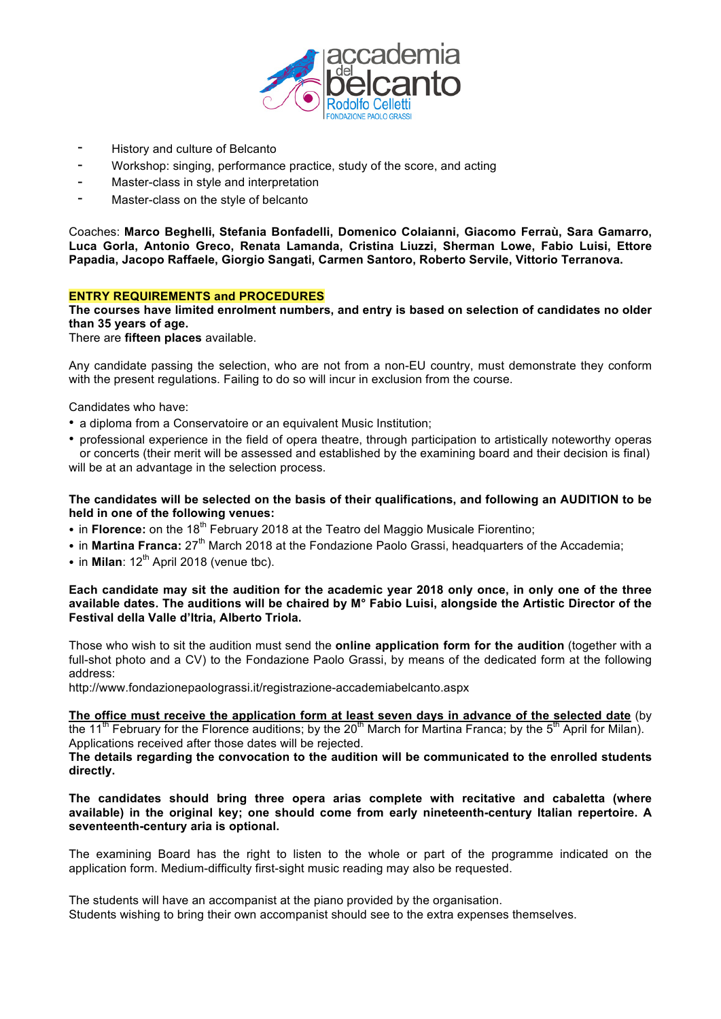

- History and culture of Belcanto
- Workshop: singing, performance practice, study of the score, and acting
- Master-class in style and interpretation
- Master-class on the style of belcanto

Coaches: **Marco Beghelli, Stefania Bonfadelli, Domenico Colaianni, Giacomo Ferraù, Sara Gamarro, Luca Gorla, Antonio Greco, Renata Lamanda, Cristina Liuzzi, Sherman Lowe, Fabio Luisi, Ettore Papadia, Jacopo Raffaele, Giorgio Sangati, Carmen Santoro, Roberto Servile, Vittorio Terranova.**

## **ENTRY REQUIREMENTS and PROCEDURES**

**The courses have limited enrolment numbers, and entry is based on selection of candidates no older than 35 years of age.**

There are **fifteen places** available.

Any candidate passing the selection, who are not from a non-EU country, must demonstrate they conform with the present regulations. Failing to do so will incur in exclusion from the course.

Candidates who have:

- a diploma from a Conservatoire or an equivalent Music Institution;
- professional experience in the field of opera theatre, through participation to artistically noteworthy operas or concerts (their merit will be assessed and established by the examining board and their decision is final) will be at an advantage in the selection process.

**The candidates will be selected on the basis of their qualifications, and following an AUDITION to be held in one of the following venues:**

- in **Florence:** on the 18<sup>th</sup> February 2018 at the Teatro del Maggio Musicale Fiorentino:
- in **Martina Franca:** 27<sup>th</sup> March 2018 at the Fondazione Paolo Grassi, headquarters of the Accademia;
- $\cdot$  in **Milan**: 12<sup>th</sup> April 2018 (venue tbc).

#### Each candidate may sit the audition for the academic year 2018 only once, in only one of the three **available dates. The auditions will be chaired by M° Fabio Luisi, alongside the Artistic Director of the Festival della Valle d'Itria, Alberto Triola.**

Those who wish to sit the audition must send the **online application form for the audition** (together with a full-shot photo and a CV) to the Fondazione Paolo Grassi, by means of the dedicated form at the following address:

http://www.fondazionepaolograssi.it/registrazione-accademiabelcanto.aspx

**The office must receive the application form at least seven days in advance of the selected date** (by the 11<sup>th</sup> February for the Florence auditions; by the 20<sup>th</sup> March for Martina Franca; by the 5<sup>th</sup> April for Milan). Applications received after those dates will be rejected.

**The details regarding the convocation to the audition will be communicated to the enrolled students directly.**

**The candidates should bring three opera arias complete with recitative and cabaletta (where available) in the original key; one should come from early nineteenth-century Italian repertoire. A seventeenth-century aria is optional.**

The examining Board has the right to listen to the whole or part of the programme indicated on the application form. Medium-difficulty first-sight music reading may also be requested.

The students will have an accompanist at the piano provided by the organisation. Students wishing to bring their own accompanist should see to the extra expenses themselves.